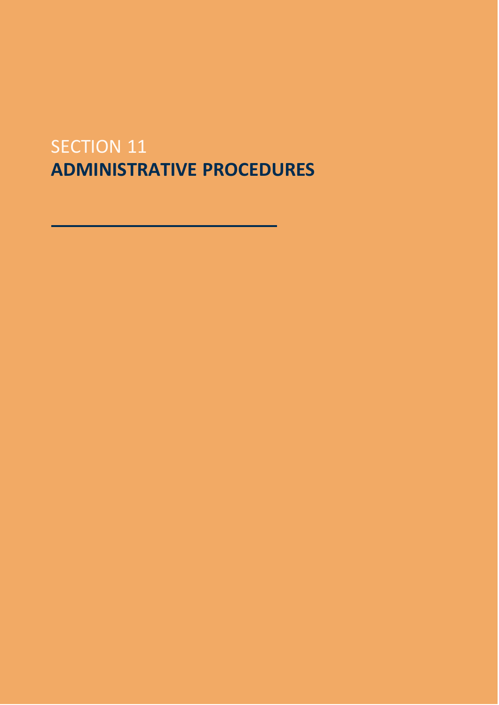# SECTION 11 **ADMINISTRATIVE PROCEDURES**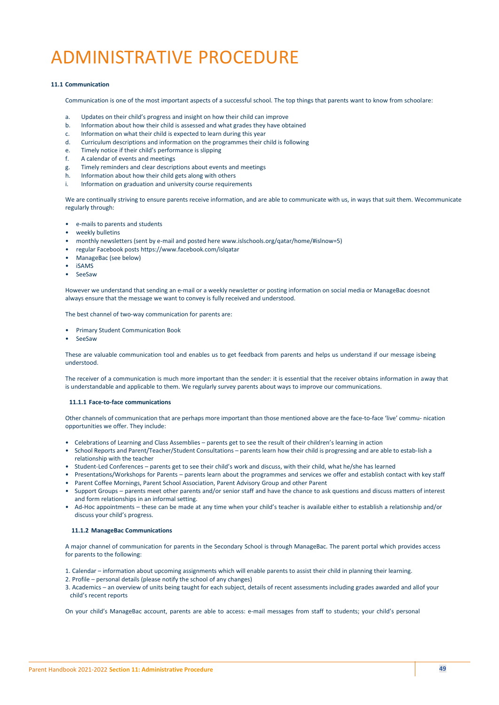# ADMINISTRATIVE PROCEDURE

## **11.1 Communication**

Communication is one of the most important aspects of a successful school. The top things that parents want to know from schoolare:

- a. Updates on their child's progress and insight on how their child can improve<br>b. Information about how their child is assessed and what grades they have ob
- b. Information about how their child is assessed and what grades they have obtained
- c. Information on what their child is expected to learn during this year
- d. Curriculum descriptions and information on the programmes their child is following
- e. Timely notice if their child's performance is slipping
- f. A calendar of events and meetings
- g. Timely reminders and clear descriptions about events and meetings
- h. Information about how their child gets along with others
- i. Information on graduation and university course requirements

We are continually striving to ensure parents receive information, and are able to communicate with us, in ways that suit them. Wecommunicate regularly through:

- e-mails to parents and students
- weekly bulletins
- monthly newsletters (sent by e-mail and posted here [www.islschools.org/qatar/home/#islnow=5\)](http://www.islschools.org/qatar/home/#islnow%3D5))
- regular Facebook posts https:[//www.facebook.com/islqatar](http://www.facebook.com/islqatar)
- ManageBac (see below)
- iSAMS
- **SeeSaw**

However we understand that sending an e-mail or a weekly newsletter or posting information on social media or ManageBac doesnot always ensure that the message we want to convey is fully received and understood.

The best channel of two-way communication for parents are:

- Primary Student Communication Book
- SeeSaw

These are valuable communication tool and enables us to get feedback from parents and helps us understand if our message isbeing understood.

The receiver of a communication is much more important than the sender: it is essential that the receiver obtains information in away that is understandable and applicable to them. We regularly survey parents about ways to improve our communications.

### **11.1.1 Face-to-face communications**

Other channels of communication that are perhaps more important than those mentioned above are the face-to-face 'live' commu- nication opportunities we offer. They include:

- Celebrations of Learning and Class Assemblies parents get to see the result of their children's learning in action
- School Reports and Parent/Teacher/Student Consultations parents learn how their child is progressing and are able to estab-lish a relationship with the teacher
- Student-Led Conferences parents get to see their child's work and discuss, with their child, what he/she has learned
- Presentations/Workshops for Parents parents learn about the programmes and services we offer and establish contact with key staff
- Parent Coffee Mornings, Parent School Association, Parent Advisory Group and other Parent
- Support Groups parents meet other parents and/or senior staff and have the chance to ask questions and discuss matters of interest and form relationships in an informal setting.
- Ad-Hoc appointments these can be made at any time when your child's teacher is available either to establish a relationship and/or discuss your child's progress.

## **11.1.2 ManageBac Communications**

A major channel of communication for parents in the Secondary School is through ManageBac. The parent portal which provides access for parents to the following:

- 1. Calendar information about upcoming assignments which will enable parents to assist their child in planning their learning.
- 2. Profile personal details (please notify the school of any changes)
- 3. Academics an overview of units being taught for each subject, details of recent assessments including grades awarded and allof your child's recent reports

On your child's ManageBac account, parents are able to access: e-mail messages from staff to students; your child's personal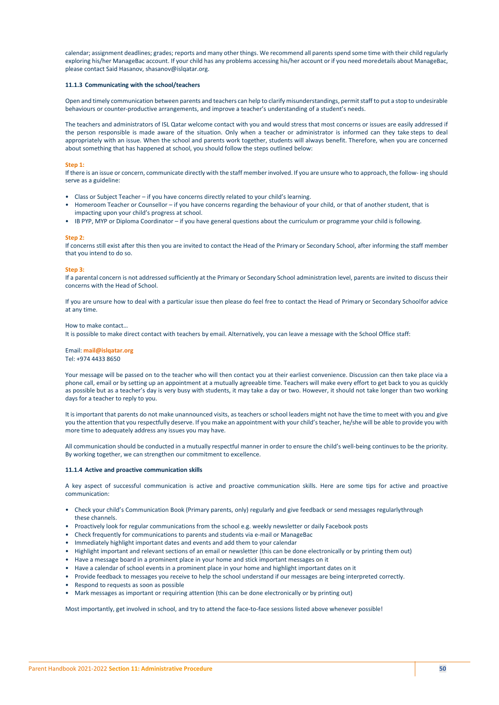calendar; assignment deadlines; grades; reports and many other things. We recommend all parents spend some time with their child regularly exploring his/her ManageBac account. If your child has any problems accessing his/her account or if you need moredetails about ManageBac, please contact Said Hasanov, [shasanov@islqatar.org.](mailto:shasanov@islqatar.org)

### **11.1.3 Communicating with the school/teachers**

Open and timely communication between parents and teachers can help to clarify misunderstandings, permit staff to put a stop to undesirable behaviours or counter-productive arrangements, and improve a teacher's understanding of a student's needs.

The teachers and administrators of ISL Qatar welcome contact with you and would stress that most concerns or issues are easily addressed if the person responsible is made aware of the situation. Only when a teacher or administrator is informed can they take steps to deal appropriately with an issue. When the school and parents work together, students will always benefit. Therefore, when you are concerned about something that has happened at school, you should follow the steps outlined below:

#### **Step 1:**

If there is an issue or concern, communicate directly with the staff member involved. If you are unsure who to approach, the follow- ing should serve as a guideline:

- Class or Subject Teacher if you have concerns directly related to your child's learning.
- Homeroom Teacher or Counsellor if you have concerns regarding the behaviour of your child, or that of another student, that is impacting upon your child's progress at school.
- IB PYP, MYP or Diploma Coordinator if you have general questions about the curriculum or programme your child is following.

#### **Step 2:**

If concerns still exist after this then you are invited to contact the Head of the Primary or Secondary School, after informing the staff member that you intend to do so.

#### **Step 3:**

If a parental concern is not addressed sufficiently at the Primary or Secondary School administration level, parents are invited to discuss their concerns with the Head of School.

If you are unsure how to deal with a particular issue then please do feel free to contact the Head of Primary or Secondary Schoolfor advice at any time.

#### How to make contact…

It is possible to make direct contact with teachers by email. Alternatively, you can leave a message with the School Office staff:

## Email: **[mail@islqatar.org](mailto:mail@islqatar.org)**

Tel: +974 4433 8650

Your message will be passed on to the teacher who will then contact you at their earliest convenience. Discussion can then take place via a phone call, email or by setting up an appointment at a mutually agreeable time. Teachers will make every effort to get back to you as quickly as possible but as a teacher's day is very busy with students, it may take a day or two. However, it should not take longer than two working days for a teacher to reply to you.

It is important that parents do not make unannounced visits, as teachers or school leaders might not have the time to meet with you and give you the attention that you respectfully deserve. If you make an appointment with your child's teacher, he/she will be able to provide you with more time to adequately address any issues you may have.

All communication should be conducted in a mutually respectful manner in order to ensure the child's well-being continues to be the priority. By working together, we can strengthen our commitment to excellence.

#### **11.1.4 Active and proactive communication skills**

A key aspect of successful communication is active and proactive communication skills. Here are some tips for active and proactive communication:

- Check your child's Communication Book (Primary parents, only) regularly and give feedback or send messages regularlythrough these channels.
- Proactively look for regular communications from the school e.g. weekly newsletter or daily Facebook posts
- Check frequently for communications to parents and students via e-mail or ManageBac
- Immediately highlight important dates and events and add them to your calendar
- Highlight important and relevant sections of an email or newsletter (this can be done electronically or by printing them out)
- Have a message board in a prominent place in your home and stick important messages on it
- Have a calendar of school events in a prominent place in your home and highlight important dates on it
- Provide feedback to messages you receive to help the school understand if our messages are being interpreted correctly.
- Respond to requests as soon as possible
- Mark messages as important or requiring attention (this can be done electronically or by printing out)

Most importantly, get involved in school, and try to attend the face-to-face sessions listed above whenever possible!